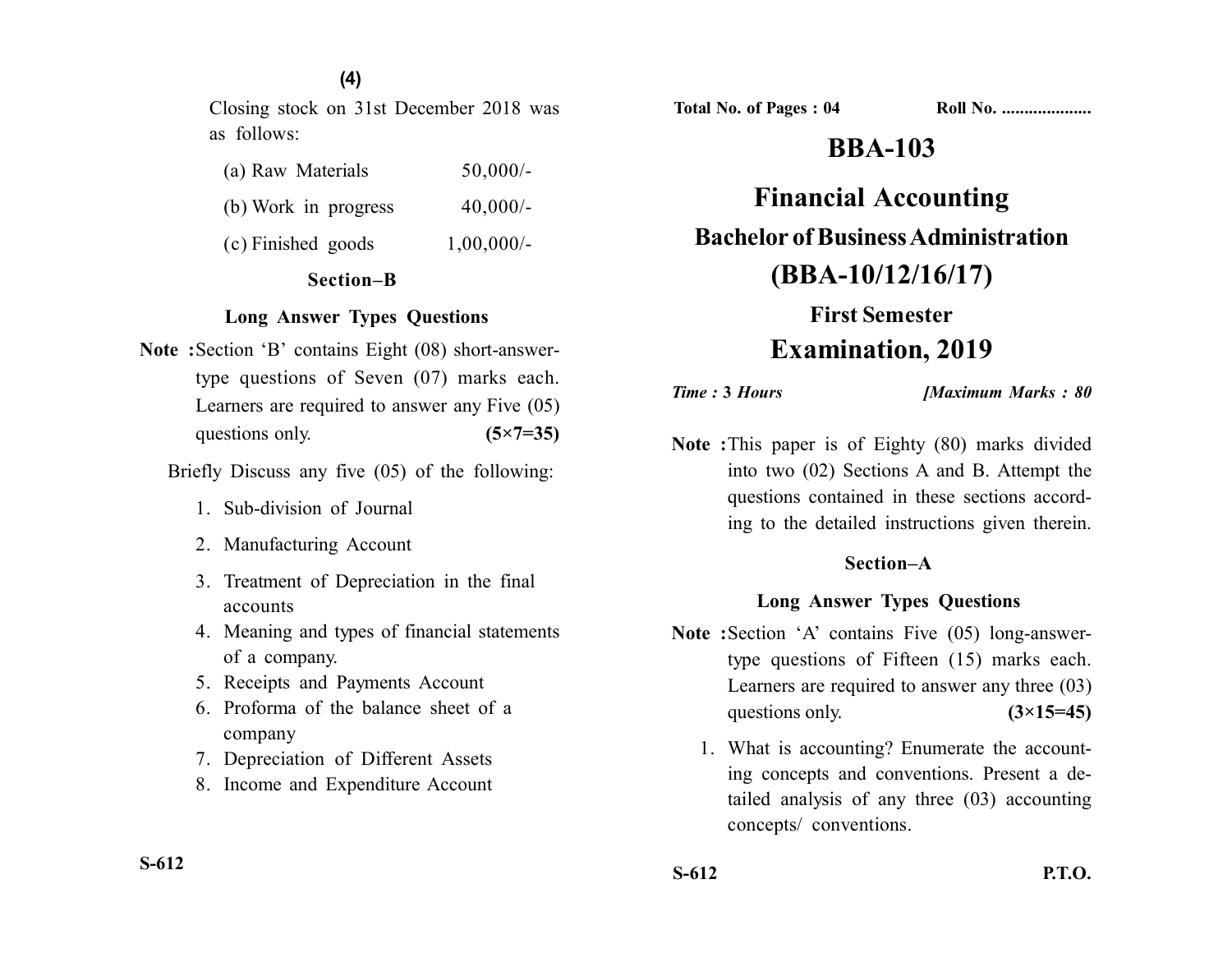### **(4)**

Closing stock on 31st December 2018 was as follows:

| (a) Raw Materials    | $50,000/-$   |
|----------------------|--------------|
| (b) Work in progress | $40,000/-$   |
| (c) Finished goods   | $1,00,000/-$ |

### **Section–B**

### **Long Answer Types Questions**

**Note :**Section 'B' contains Eight (08) short-answertype questions of Seven (07) marks each. Learners are required to answer any Five (05) questions only. **(5×7=35)** 

Briefly Discuss any five (05) of the following:

- 1. Sub-division of Journal
- 2. Manufacturing Account
- 3. Treatment of Depreciation in the final accounts
- 4. Meaning and types of financial statements of a company.
- 5. Receipts and Payments Account
- 6. Proforma of the balance sheet of a company
- 7. Depreciation of Different Assets
- 8. Income and Expenditure Account

# **BBA-103**

**Financial Accounting Bachelor of Business Administration (BBA-10/12/16/17)**

# **First Semester Examination, 2019**

*Time :* **3** *Hours [Maximum Marks : 80*

**Note :**This paper is of Eighty (80) marks divided into two (02) Sections A and B. Attempt the questions contained in these sections according to the detailed instructions given therein.

### **Section–A**

#### **Long Answer Types Questions**

- **Note :**Section 'A' contains Five (05) long-answertype questions of Fifteen (15) marks each. Learners are required to answer any three (03) questions only. **(3×15=45)** 
	- 1. What is accounting? Enumerate the accounting concepts and conventions. Present a detailed analysis of any three (03) accounting concepts/ conventions.

**S-612**